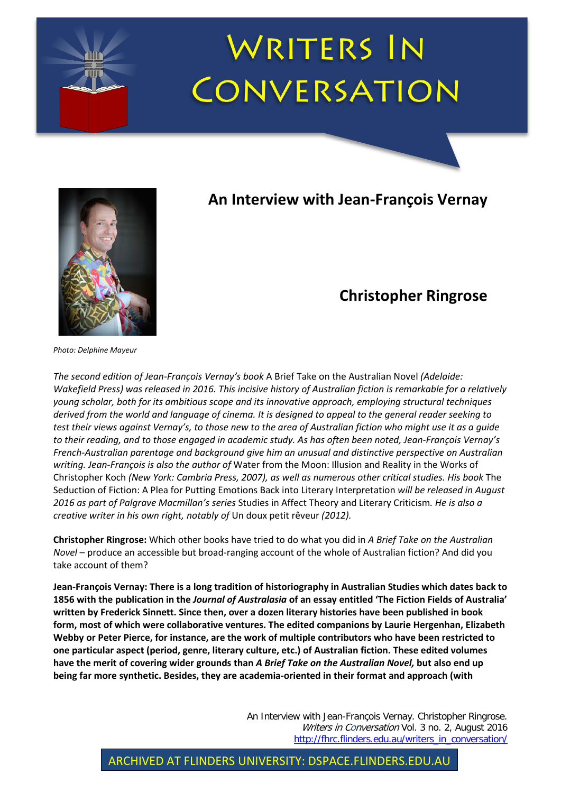



## **An Interview with Jean-François Vernay**

## **Christopher Ringrose**

*Photo: Delphine Mayeur*

*The second edition of Jean-François Vernay's book* A Brief Take on the Australian Novel *(Adelaide: Wakefield Press) was released in 2016. This incisive history of Australian fiction is remarkable for a relatively young scholar, both for its ambitious scope and its innovative approach, employing structural techniques derived from the world and language of cinema. It is designed to appeal to the general reader seeking to test their views against Vernay's, to those new to the area of Australian fiction who might use it as a guide to their reading, and to those engaged in academic study. As has often been noted, Jean-François Vernay's French-Australian parentage and background give him an unusual and distinctive perspective on Australian writing. Jean-François is also the author of* Water from the Moon: Illusion and Reality in the Works of Christopher Koch *(New York: Cambria Press, 2007), as well as numerous other critical studies. His book* The Seduction of Fiction: A Plea for Putting Emotions Back into Literary Interpretation *will be released in August 2016 as part of Palgrave Macmillan's series* Studies in Affect Theory and Literary Criticism*. He is also a creative writer in his own right, notably of* Un doux petit rêveur *(2012).*

**Christopher Ringrose:** Which other books have tried to do what you did in *A Brief Take on the Australian Novel* – produce an accessible but broad-ranging account of the whole of Australian fiction? And did you take account of them?

**Jean-François Vernay: There is a long tradition of historiography in Australian Studies which dates back to 1856 with the publication in the** *Journal of Australasia* **of an essay entitled 'The Fiction Fields of Australia' written by Frederick Sinnett. Since then, over a dozen literary histories have been published in book form, most of which were collaborative ventures. The edited companions by Laurie Hergenhan, Elizabeth Webby or Peter Pierce, for instance, are the work of multiple contributors who have been restricted to one particular aspect (period, genre, literary culture, etc.) of Australian fiction. These edited volumes have the merit of covering wider grounds than** *A Brief Take on the Australian Novel,* **but also end up being far more synthetic. Besides, they are academia-oriented in their format and approach (with** 

> An Interview with Jean-François Vernay. Christopher Ringrose. Writers in Conversation Vol. 3 no. 2, August 2016 [http://fhrc.flinders.edu.au/writers\\_in\\_conversation/](http://fhrc.flinders.edu.au/writers_in_conversation/)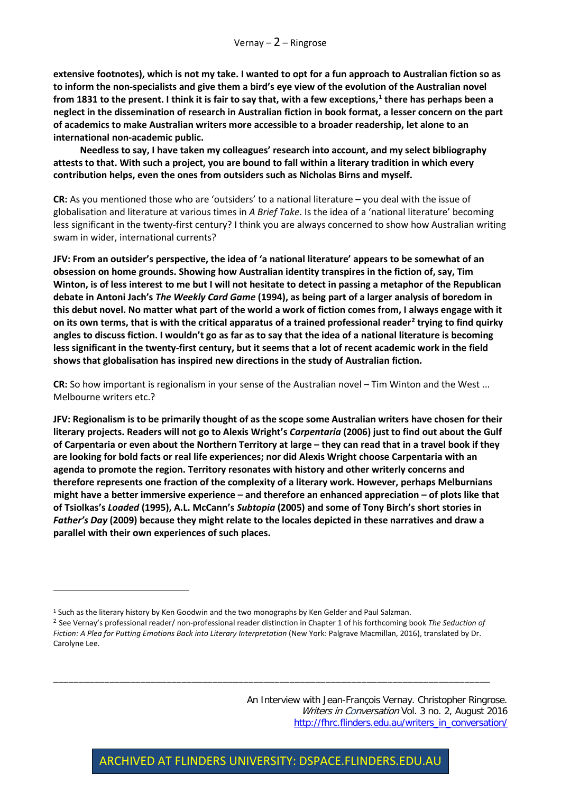**extensive footnotes), which is not my take. I wanted to opt for a fun approach to Australian fiction so as to inform the non-specialists and give them a bird's eye view of the evolution of the Australian novel from 1831 to the present. I think it is fair to say that, with a few exceptions,[1](#page-1-0) there has perhaps been a neglect in the dissemination of research in Australian fiction in book format, a lesser concern on the part of academics to make Australian writers more accessible to a broader readership, let alone to an international non-academic public.** 

**Needless to say, I have taken my colleagues' research into account, and my select bibliography attests to that. With such a project, you are bound to fall within a literary tradition in which every contribution helps, even the ones from outsiders such as Nicholas Birns and myself.** 

**CR:** As you mentioned those who are 'outsiders' to a national literature – you deal with the issue of globalisation and literature at various times in *A Brief Take*. Is the idea of a 'national literature' becoming less significant in the twenty-first century? I think you are always concerned to show how Australian writing swam in wider, international currents?

**JFV: From an outsider's perspective, the idea of 'a national literature' appears to be somewhat of an obsession on home grounds. Showing how Australian identity transpires in the fiction of, say, Tim Winton, is of less interest to me but I will not hesitate to detect in passing a metaphor of the Republican debate in Antoni Jach's** *The Weekly Card Game* **(1994), as being part of a larger analysis of boredom in this debut novel. No matter what part of the world a work of fiction comes from, I always engage with it on its own terms, that is with the critical apparatus of a trained professional reader[2](#page-1-1) trying to find quirky angles to discuss fiction. I wouldn't go as far as to say that the idea of a national literature is becoming less significant in the twenty-first century, but it seems that a lot of recent academic work in the field shows that globalisation has inspired new directions in the study of Australian fiction.** 

**CR:** So how important is regionalism in your sense of the Australian novel – Tim Winton and the West ... Melbourne writers etc.?

**JFV: Regionalism is to be primarily thought of as the scope some Australian writers have chosen for their literary projects. Readers will not go to Alexis Wright's** *Carpentaria* **(2006) just to find out about the Gulf of Carpentaria or even about the Northern Territory at large – they can read that in a travel book if they are looking for bold facts or real life experiences; nor did Alexis Wright choose Carpentaria with an agenda to promote the region. Territory resonates with history and other writerly concerns and therefore represents one fraction of the complexity of a literary work. However, perhaps Melburnians might have a better immersive experience – and therefore an enhanced appreciation – of plots like that of Tsiolkas's** *Loaded* **(1995), A.L. McCann's** *Subtopia* **(2005) and some of Tony Birch's short stories in**  *Father's Day* **(2009) because they might relate to the locales depicted in these narratives and draw a parallel with their own experiences of such places.** 

 $\overline{a}$ 

\_\_\_\_\_\_\_\_\_\_\_\_\_\_\_\_\_\_\_\_\_\_\_\_\_\_\_\_\_\_\_\_\_\_\_\_\_\_\_\_\_\_\_\_\_\_\_\_\_\_\_\_\_\_\_\_\_\_\_\_\_\_\_\_\_\_\_\_\_\_\_\_\_\_\_\_\_\_\_\_\_\_\_\_\_

An Interview with Jean-François Vernay. Christopher Ringrose. Writers in Conversation Vol. 3 no. 2, August 2016 [http://fhrc.flinders.edu.au/writers\\_in\\_conversation/](http://fhrc.flinders.edu.au/writers_in_conversation/)

<span id="page-1-0"></span><sup>&</sup>lt;sup>1</sup> Such as the literary history by Ken Goodwin and the two monographs by Ken Gelder and Paul Salzman.

<span id="page-1-1"></span><sup>2</sup> See Vernay's professional reader/ non-professional reader distinction in Chapter 1 of his forthcoming book *The Seduction of Fiction: A Plea for Putting Emotions Back into Literary Interpretation* (New York: Palgrave Macmillan, 2016), translated by Dr. Carolyne Lee.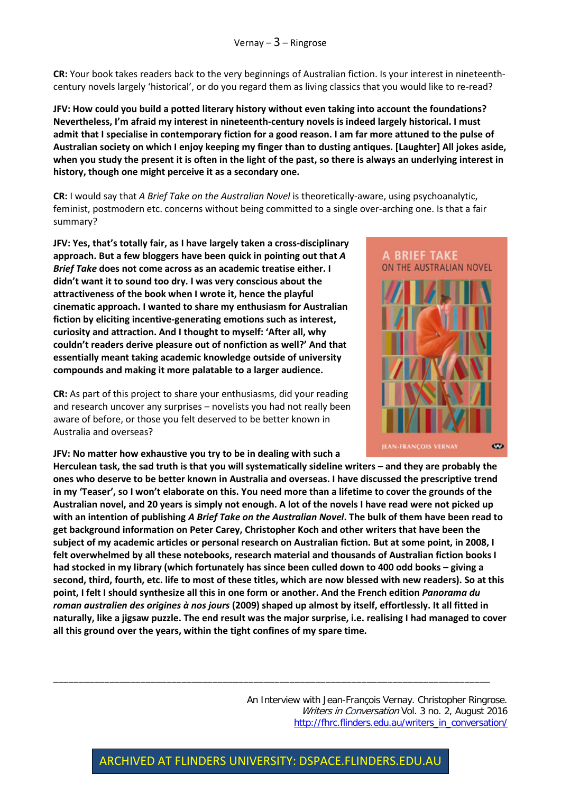**CR:** Your book takes readers back to the very beginnings of Australian fiction. Is your interest in nineteenthcentury novels largely 'historical', or do you regard them as living classics that you would like to re-read?

**JFV: How could you build a potted literary history without even taking into account the foundations? Nevertheless, I'm afraid my interest in nineteenth-century novels is indeed largely historical. I must admit that I specialise in contemporary fiction for a good reason. I am far more attuned to the pulse of Australian society on which I enjoy keeping my finger than to dusting antiques. [Laughter] All jokes aside, when you study the present it is often in the light of the past, so there is always an underlying interest in history, though one might perceive it as a secondary one.** 

**CR:** I would say that *A Brief Take on the Australian Novel* is theoretically-aware, using psychoanalytic, feminist, postmodern etc. concerns without being committed to a single over-arching one. Is that a fair summary?

**JFV: Yes, that's totally fair, as I have largely taken a cross-disciplinary approach. But a few bloggers have been quick in pointing out that** *A Brief Take* **does not come across as an academic treatise either. I didn't want it to sound too dry. I was very conscious about the attractiveness of the book when I wrote it, hence the playful cinematic approach. I wanted to share my enthusiasm for Australian fiction by eliciting incentive-generating emotions such as interest, curiosity and attraction. And I thought to myself: 'After all, why couldn't readers derive pleasure out of nonfiction as well?' And that essentially meant taking academic knowledge outside of university compounds and making it more palatable to a larger audience.** 

**CR:** As part of this project to share your enthusiasms, did your reading and research uncover any surprises – novelists you had not really been aware of before, or those you felt deserved to be better known in Australia and overseas?

**JFV: No matter how exhaustive you try to be in dealing with such a** 



**Herculean task, the sad truth is that you will systematically sideline writers – and they are probably the ones who deserve to be better known in Australia and overseas. I have discussed the prescriptive trend in my 'Teaser', so I won't elaborate on this. You need more than a lifetime to cover the grounds of the Australian novel, and 20 years is simply not enough. A lot of the novels I have read were not picked up with an intention of publishing** *A Brief Take on the Australian Novel***. The bulk of them have been read to get background information on Peter Carey, Christopher Koch and other writers that have been the subject of my academic articles or personal research on Australian fiction. But at some point, in 2008, I felt overwhelmed by all these notebooks, research material and thousands of Australian fiction books I had stocked in my library (which fortunately has since been culled down to 400 odd books – giving a second, third, fourth, etc. life to most of these titles, which are now blessed with new readers). So at this point, I felt I should synthesize all this in one form or another. And the French edition** *Panorama du roman australien des origines à nos jours* **(2009) shaped up almost by itself, effortlessly. It all fitted in naturally, like a jigsaw puzzle. The end result was the major surprise, i.e. realising I had managed to cover all this ground over the years, within the tight confines of my spare time.**

> An Interview with Jean-François Vernay. Christopher Ringrose. Writers in Conversation Vol. 3 no. 2, August 2016 [http://fhrc.flinders.edu.au/writers\\_in\\_conversation/](http://fhrc.flinders.edu.au/writers_in_conversation/)

\_\_\_\_\_\_\_\_\_\_\_\_\_\_\_\_\_\_\_\_\_\_\_\_\_\_\_\_\_\_\_\_\_\_\_\_\_\_\_\_\_\_\_\_\_\_\_\_\_\_\_\_\_\_\_\_\_\_\_\_\_\_\_\_\_\_\_\_\_\_\_\_\_\_\_\_\_\_\_\_\_\_\_\_\_